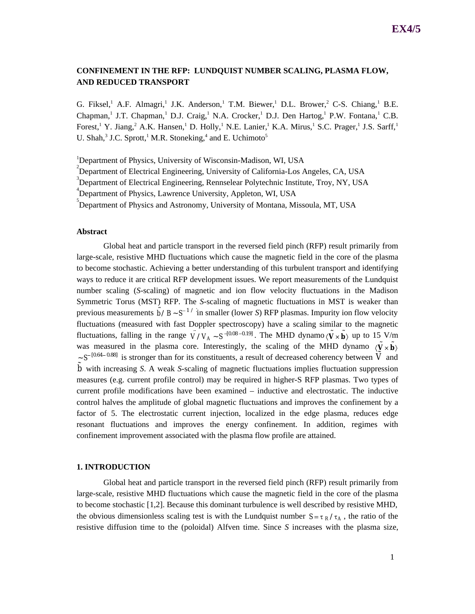# **CONFINEMENT IN THE RFP: LUNDQUIST NUMBER SCALING, PLASMA FLOW, AND REDUCED TRANSPORT**

G. Fiksel, A.F. Almagri, J.K. Anderson, T.M. Biewer, D.L. Brower, C-S. Chiang, B.E. Chapman,<sup>1</sup> J.T. Chapman,<sup>1</sup> D.J. Craig,<sup>1</sup> N.A. Crocker,<sup>1</sup> D.J. Den Hartog,<sup>1</sup> P.W. Fontana,<sup>1</sup> C.B. Forest,<sup>1</sup> Y. Jiang,<sup>2</sup> A.K. Hansen,<sup>1</sup> D. Holly,<sup>1</sup> N.E. Lanier,<sup>1</sup> K.A. Mirus,<sup>1</sup> S.C. Prager,<sup>1</sup> J.S. Sarff,<sup>1</sup> U. Shah,<sup>3</sup> J.C. Sprott,<sup>1</sup> M.R. Stoneking,<sup>4</sup> and E. Uchimoto<sup>5</sup>

<sup>1</sup>Department of Physics, University of Wisconsin-Madison, WI, USA <sup>2</sup> Department of Electrical Engineering, University of California-Los Angeles, CA, USA <sup>3</sup>Department of Electrical Engineering, Rennselear Polytechnic Institute, Troy, NY, USA 4 Department of Physics, Lawrence University, Appleton, WI, USA <sup>5</sup>Department of Physics and Astronomy, University of Montana, Missoula, MT, USA

## **Abstract**

Global heat and particle transport in the reversed field pinch (RFP) result primarily from large-scale, resistive MHD fluctuations which cause the magnetic field in the core of the plasma to become stochastic. Achieving a better understanding of this turbulent transport and identifying ways to reduce it are critical RFP development issues. We report measurements of the Lundquist number scaling (*S*-scaling) of magnetic and ion flow velocity fluctuations in the Madison Symmetric Torus (MST) RFP. The *S*-scaling of magnetic fluctuations in MST is weaker than previous measurements  $\tilde{b}$  /*B* ~  $S^{-1}$  / in smaller (lower *S*) RFP plasmas. Impurity ion flow velocity fluctuations (measured with fast Doppler spectroscopy) have a scaling similar to the magnetic fluctuations, falling in the range  $\tilde{V}/V_A \sim S^{-[0.08-0.19]}$ . The MHD dynamo  $\langle \tilde{V} \times \tilde{b} \rangle$  up to 15 V/m was measured in the plasma core. Interestingly, the scaling of the MHD dynamo  $\langle \tilde{\mathbf{V}} \times \tilde{\mathbf{b}} \rangle$  $\approx S^{-[0.64-0.88]}$  is stronger than for its constituents, a result of decreased coherency between  $\tilde{V}$  and  $\tilde{b}$  with increasing *S*. A weak *S*-scaling of magnetic fluctuations implies fluctuation suppression measures (e.g. current profile control) may be required in higher-S RFP plasmas. Two types of current profile modifications have been examined – inductive and electrostatic. The inductive control halves the amplitude of global magnetic fluctuations and improves the confinement by a factor of 5. The electrostatic current injection, localized in the edge plasma, reduces edge resonant fluctuations and improves the energy confinement. In addition, regimes with confinement improvement associated with the plasma flow profile are attained.

## **1. INTRODUCTION**

Global heat and particle transport in the reversed field pinch (RFP) result primarily from large-scale, resistive MHD fluctuations which cause the magnetic field in the core of the plasma to become stochastic [1,2]. Because this dominant turbulence is well described by resistive MHD, the obvious dimensionless scaling test is with the Lundquist number  $S = \tau_R / \tau_A$ , the ratio of the resistive diffusion time to the (poloidal) Alfven time. Since *S* increases with the plasma size,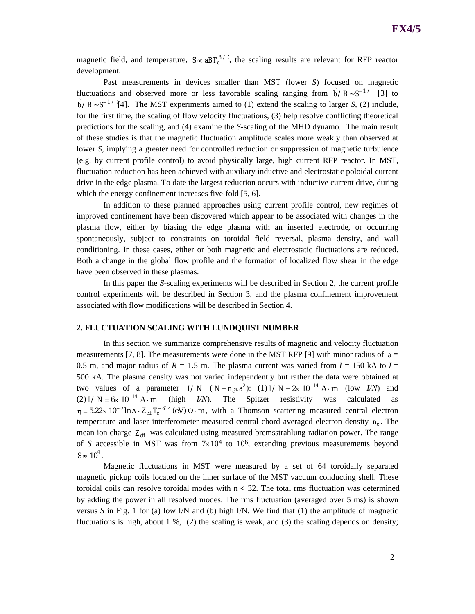magnetic field, and temperature,  $S \propto aBT_e^{3/2}$ , the scaling results are relevant for RFP reactor development.

Past measurements in devices smaller than MST (lower *S*) focused on magnetic fluctuations and observed more or less favorable scaling ranging from  $\tilde{b}$  /*B* ~ *S*<sup>-1</sup>/<sup>2</sup> [3] to  $\tilde{b}$  /*B* ~ *S*<sup>-1</sup> '[4]. The MST experiments aimed to (1) extend the scaling to larger *S*, (2) include, for the first time, the scaling of flow velocity fluctuations, (3) help resolve conflicting theoretical predictions for the scaling, and (4) examine the *S*-scaling of the MHD dynamo. The main result of these studies is that the magnetic fluctuation amplitude scales more weakly than observed at lower *S*, implying a greater need for controlled reduction or suppression of magnetic turbulence (e.g. by current profile control) to avoid physically large, high current RFP reactor. In MST, fluctuation reduction has been achieved with auxiliary inductive and electrostatic poloidal current drive in the edge plasma. To date the largest reduction occurs with inductive current drive, during which the energy confinement increases five-fold [5, 6].

In addition to these planned approaches using current profile control, new regimes of improved confinement have been discovered which appear to be associated with changes in the plasma flow, either by biasing the edge plasma with an inserted electrode, or occurring spontaneously, subject to constraints on toroidal field reversal, plasma density, and wall conditioning. In these cases, either or both magnetic and electrostatic fluctuations are reduced. Both a change in the global flow profile and the formation of localized flow shear in the edge have been observed in these plasmas.

In this paper the *S*-scaling experiments will be described in Section 2, the current profile control experiments will be described in Section 3, and the plasma confinement improvement associated with flow modifications will be described in Section 4.

## **2. FLUCTUATION SCALING WITH LUNDQUIST NUMBER**

In this section we summarize comprehensive results of magnetic and velocity fluctuation measurements [7, 8]. The measurements were done in the MST RFP [9] with minor radius of  $a =$ 0.5 m, and major radius of  $R = 1.5$  m. The plasma current was varied from  $I = 150$  kA to  $I =$ 500 kA. The plasma density was not varied independently but rather the data were obtained at two values of a parameter  $I/N$  ( $N = \overline{n}_e \pi a^2$ ): (1)  $I/N = 2 \times 10^{-14}$  A·m (low *I/N*) and (2)  $I/N = 6 \times 10^{-14}$  A m (high *I/N*). The Spitzer resistivity was calculated as temperature and laser interferometer measured central chord averaged electron density  $n_e$ . The  $5.22 \times 10^{-5}$  ln  $\Lambda \cdot Z_{\text{eff}} T_e^{-3/2}$  (eV)  $\Omega \cdot m$ , with a Thomson scattering measured central electron mean ion charge *Zeff* was calculated using measured bremsstrahlung radiation power. The range of *S* accessible in MST was from  $7 \times 10^4$  to  $10^6$ , extending previous measurements beyond  $S \approx 10^4$ .

Magnetic fluctuations in MST were measured by a set of 64 toroidally separated magnetic pickup coils located on the inner surface of the MST vacuum conducting shell. These toroidal coils can resolve toroidal modes with  $n \leq 32$ . The total rms fluctuation was determined by adding the power in all resolved modes. The rms fluctuation (averaged over 5 ms) is shown versus *S* in Fig. 1 for (a) low I/N and (b) high I/N. We find that (1) the amplitude of magnetic fluctuations is high, about 1 %, (2) the scaling is weak, and (3) the scaling depends on density;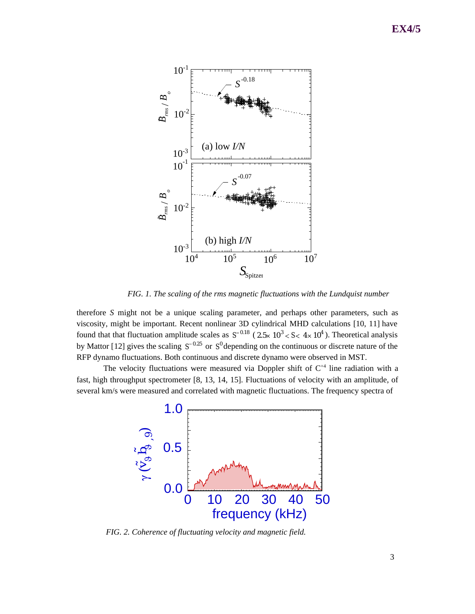

*FIG. 1. The scaling of the rms magnetic fluctuations with the Lundquist number*

therefore *S* might not be a unique scaling parameter, and perhaps other parameters, such as viscosity, might be important. Recent nonlinear 3D cylindrical MHD calculations [10, 11] have found that that fluctuation amplitude scales as  $S^{-0.18}$  (2.5×10<sup>3</sup> < S< 4×10<sup>4</sup>). Theoretical analysis by Mattor [12] gives the scaling  $S^{-0.25}$  or  $S^0$  depending on the continuous or discrete nature of the RFP dynamo fluctuations. Both continuous and discrete dynamo were observed in MST.

The velocity fluctuations were measured via Doppler shift of  $C^{+4}$  line radiation with a fast, high throughput spectrometer [8, 13, 14, 15]. Fluctuations of velocity with an amplitude, of several km/s were measured and correlated with magnetic fluctuations. The frequency spectra of



*FIG. 2. Coherence of fluctuating velocity and magnetic field.*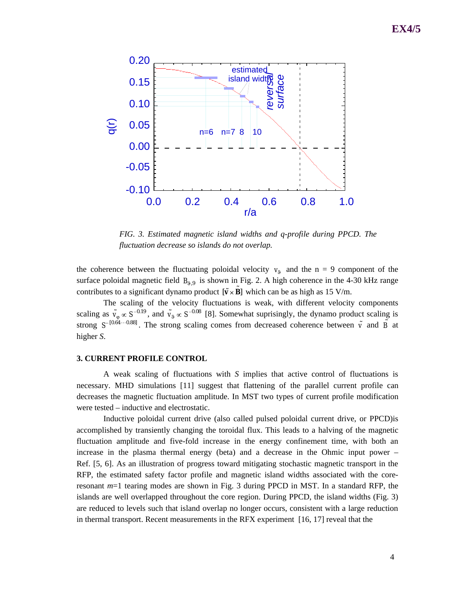

*FIG. 3. Estimated magnetic island widths and q-profile during PPCD. The*

the coherence between the fluctuating poloidal velocity  $v_9$  and the n = 9 component of the surface poloidal magnetic field  $B_{9,9}$  is shown in Fig. 2. A high coherence in the 4-30 kHz range contributes to a significant dynamo product  $[\tilde{\mathbf{v}} \times \tilde{\mathbf{B}}]$  which can be as high as 15 V/m.

The scaling of the velocity fluctuations is weak, with different velocity components scaling as  $\tilde{v}_{\varphi} \propto S^{-0.19}$ , and  $\tilde{v}_{\vartheta} \propto S^{-0.08}$  [8]. Somewhat suprisingly, the dynamo product scaling is strong  $S^{-[0.64 \cdots 0.88]}$ . The strong scaling comes from decreased coherence between  $\tilde{v}$  and  $\tilde{B}$  at higher *S*.

# **3. CURRENT PROFILE CONTROL**

A weak scaling of fluctuations with *S* implies that active control of fluctuations is necessary. MHD simulations [11] suggest that flattening of the parallel current profile can decreases the magnetic fluctuation amplitude. In MST two types of current profile modification were tested – inductive and electrostatic.

Inductive poloidal current drive (also called pulsed poloidal current drive, or PPCD)is accomplished by transiently changing the toroidal flux. This leads to a halving of the magnetic fluctuation amplitude and five-fold increase in the energy confinement time, with both an increase in the plasma thermal energy (beta) and a decrease in the Ohmic input power – Ref. [5, 6]. As an illustration of progress toward mitigating stochastic magnetic transport in the RFP, the estimated safety factor profile and magnetic island widths associated with the coreresonant *m*=1 tearing modes are shown in Fig. 3 during PPCD in MST. In a standard RFP, the islands are well overlapped throughout the core region. During PPCD, the island widths (Fig. 3) are reduced to levels such that island overlap no longer occurs, consistent with a large reduction in thermal transport. Recent measurements in the RFX experiment [16, 17] reveal that the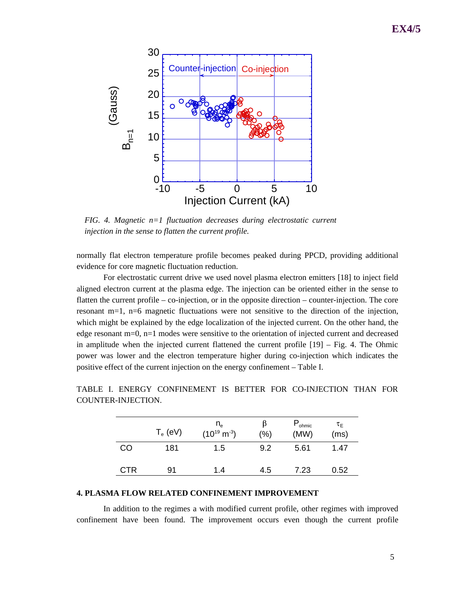

*FIG. 4. Magnetic n=1 fluctuation decreases during electrostatic current injection in the sense to flatten the current profile.*

normally flat electron temperature profile becomes peaked during PPCD, providing additional evidence for core magnetic fluctuation reduction.

For electrostatic current drive we used novel plasma electron emitters [18] to inject field aligned electron current at the plasma edge. The injection can be oriented either in the sense to flatten the current profile – co-injection, or in the opposite direction – counter-injection. The core resonant m=1, n=6 magnetic fluctuations were not sensitive to the direction of the injection, which might be explained by the edge localization of the injected current. On the other hand, the edge resonant m=0, n=1 modes were sensitive to the orientation of injected current and decreased in amplitude when the injected current flattened the current profile  $[19]$  – Fig. 4. The Ohmic power was lower and the electron temperature higher during co-injection which indicates the positive effect of the current injection on the energy confinement – Table I.

|            | $T_e$ (eV) | $n_e$<br>$(10^{19} \text{ m}^{-3})$ | ß<br>(%) | $P_{ohmic}$<br>(MW) | $\tau_{\sf E}$<br>(ms) |
|------------|------------|-------------------------------------|----------|---------------------|------------------------|
| CO         | 181        | 1.5                                 | 9.2      | 5.61                | 1.47                   |
| <b>CTR</b> | 91         | 1.4                                 | 4.5      | 7.23                | 0.52                   |

TABLE I. ENERGY CONFINEMENT IS BETTER FOR CO-INJECTION THAN FOR COUNTER-INJECTION.

# **4. PLASMA FLOW RELATED CONFINEMENT IMPROVEMENT**

In addition to the regimes a with modified current profile, other regimes with improved confinement have been found. The improvement occurs even though the current profile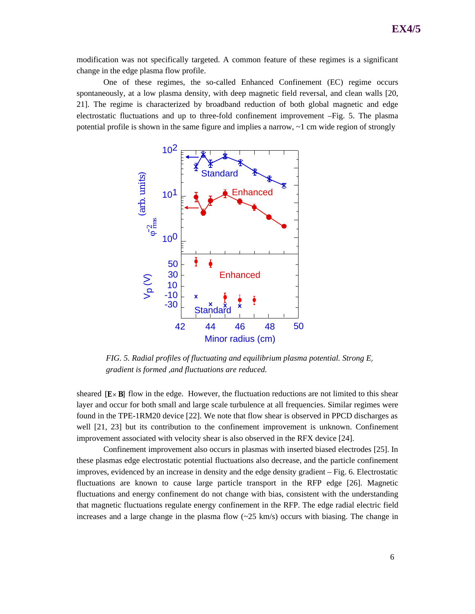modification was not specifically targeted. A common feature of these regimes is a significant change in the edge plasma flow profile.

One of these regimes, the so-called Enhanced Confinement (EC) regime occurs spontaneously, at a low plasma density, with deep magnetic field reversal, and clean walls [20, 21]. The regime is characterized by broadband reduction of both global magnetic and edge electrostatic fluctuations and up to three-fold confinement improvement –Fig. 5. The plasma potential profile is shown in the same figure and implies a narrow, ~1 cm wide region of strongly



*FIG. 5. Radial profiles of fluctuating and equilibrium plasma potential. Strong E<sup>r</sup> gradient is formed ,and fluctuations are reduced.*

sheared  $[\mathbf{E} \times \mathbf{B}]$  flow in the edge. However, the fluctuation reductions are not limited to this shear layer and occur for both small and large scale turbulence at all frequencies. Similar regimes were found in the TPE-1RM20 device [22]. We note that flow shear is observed in PPCD discharges as well  $[21, 23]$  but its contribution to the confinement improvement is unknown. Confinement improvement associated with velocity shear is also observed in the RFX device [24].

Confinement improvement also occurs in plasmas with inserted biased electrodes [25]. In these plasmas edge electrostatic potential fluctuations also decrease, and the particle confinement improves, evidenced by an increase in density and the edge density gradient – Fig. 6. Electrostatic fluctuations are known to cause large particle transport in the RFP edge [26]. Magnetic fluctuations and energy confinement do not change with bias, consistent with the understanding that magnetic fluctuations regulate energy confinement in the RFP. The edge radial electric field increases and a large change in the plasma flow  $(\sim 25 \text{ km/s})$  occurs with biasing. The change in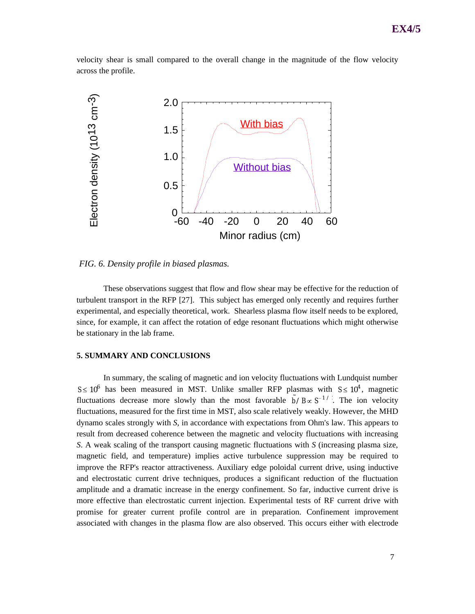velocity shear is small compared to the overall change in the magnitude of the flow velocity across the profile.



*FIG. 6. Density profile in biased plasmas.*

These observations suggest that flow and flow shear may be effective for the reduction of turbulent transport in the RFP [27]. This subject has emerged only recently and requires further experimental, and especially theoretical, work. Shearless plasma flow itself needs to be explored, since, for example, it can affect the rotation of edge resonant fluctuations which might otherwise be stationary in the lab frame.

### **5. SUMMARY AND CONCLUSIONS**

In summary, the scaling of magnetic and ion velocity fluctuations with Lundquist number  $S \le 10^6$  has been measured in MST. Unlike smaller RFP plasmas with  $S \le 10^4$ , magnetic fluctuations decrease more slowly than the most favorable  $\tilde{b}/B \propto S^{-1/2}$ . The ion velocity fluctuations, measured for the first time in MST, also scale relatively weakly. However, the MHD dynamo scales strongly with *S*, in accordance with expectations from Ohm's law. This appears to result from decreased coherence between the magnetic and velocity fluctuations with increasing *S*. A weak scaling of the transport causing magnetic fluctuations with *S* (increasing plasma size, magnetic field, and temperature) implies active turbulence suppression may be required to improve the RFP's reactor attractiveness. Auxiliary edge poloidal current drive, using inductive and electrostatic current drive techniques, produces a significant reduction of the fluctuation amplitude and a dramatic increase in the energy confinement. So far, inductive current drive is more effective than electrostatic current injection. Experimental tests of RF current drive with promise for greater current profile control are in preparation. Confinement improvement associated with changes in the plasma flow are also observed. This occurs either with electrode